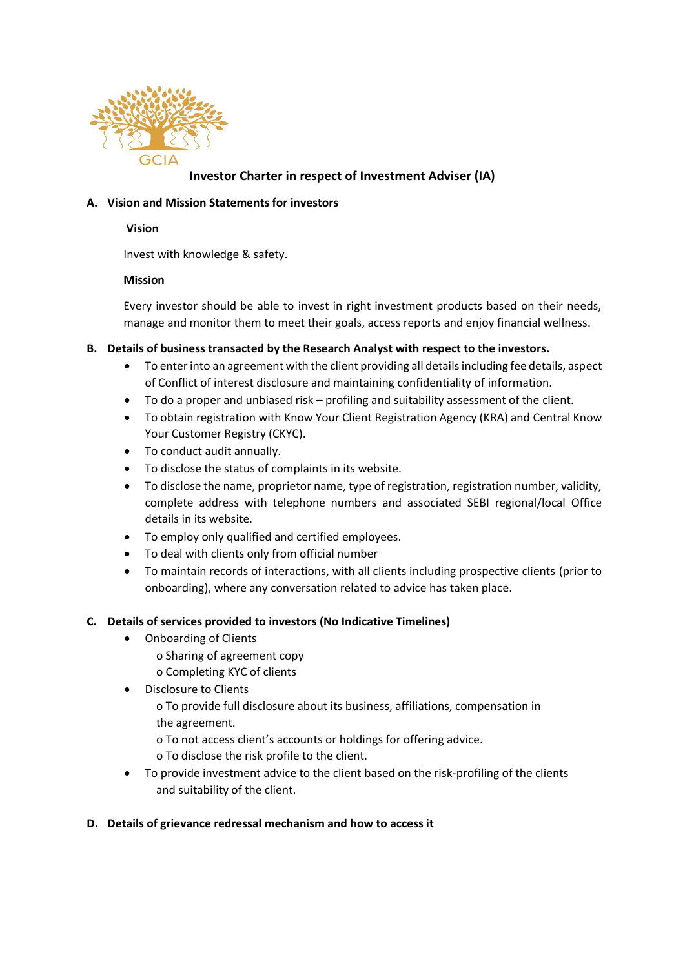

# **Investor Charter in respect of Investment Adviser (IA)**

### **A. Vision and Mission Statements for investors**

#### **Vision**

Invest with knowledge & safety.

### **Mission**

Every investor should be able to invest in right investment products based on their needs, manage and monitor them to meet their goals, access reports and enjoy financial wellness.

### **B. Details of business transacted by the Research Analyst with respect to the investors.**

- To enter into an agreement with the client providing all details including fee details, aspect of Conflict of interest disclosure and maintaining confidentiality of information.
- To do a proper and unbiased risk profiling and suitability assessment of the client.
- To obtain registration with Know Your Client Registration Agency (KRA) and Central Know Your Customer Registry (CKYC).
- To conduct audit annually.
- To disclose the status of complaints in its website.
- To disclose the name, proprietor name, type of registration, registration number, validity, complete address with telephone numbers and associated SEBI regional/local Office details in its website.
- To employ only qualified and certified employees.
- To deal with clients only from official number
- To maintain records of interactions, with all clients including prospective clients (prior to onboarding), where any conversation related to advice has taken place.

# **C. Details of services provided to investors (No Indicative Timelines)**

- Onboarding of Clients
	- o Sharing of agreement copy
	- o Completing KYC of clients
- Disclosure to Clients
	- o To provide full disclosure about its business, affiliations, compensation in the agreement.
	- o To not access client's accounts or holdings for offering advice.
	- o To disclose the risk profile to the client.
- To provide investment advice to the client based on the risk-profiling of the clients and suitability of the client.

# **D. Details of grievance redressal mechanism and how to access it**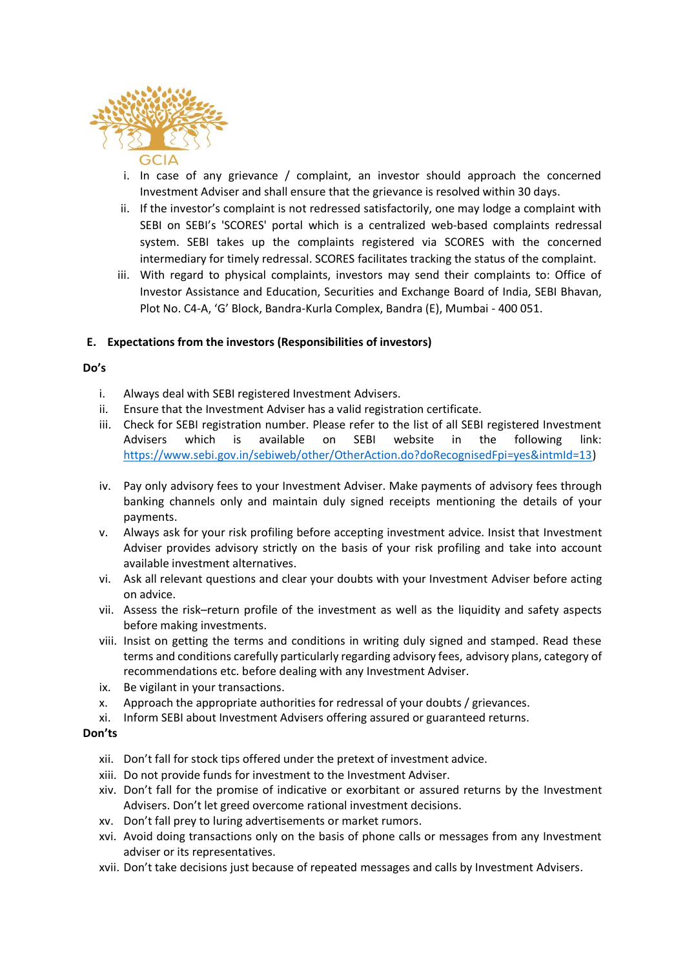

- i. In case of any grievance / complaint, an investor should approach the concerned Investment Adviser and shall ensure that the grievance is resolved within 30 days.
- ii. If the investor's complaint is not redressed satisfactorily, one may lodge a complaint with SEBI on SEBI's 'SCORES' portal which is a centralized web-based complaints redressal system. SEBI takes up the complaints registered via SCORES with the concerned intermediary for timely redressal. SCORES facilitates tracking the status of the complaint.
- iii. With regard to physical complaints, investors may send their complaints to: Office of Investor Assistance and Education, Securities and Exchange Board of India, SEBI Bhavan, Plot No. C4-A, 'G' Block, Bandra-Kurla Complex, Bandra (E), Mumbai - 400 051.

### **E. Expectations from the investors (Responsibilities of investors)**

### **Do's**

- i. Always deal with SEBI registered Investment Advisers.
- ii. Ensure that the Investment Adviser has a valid registration certificate.
- iii. Check for SEBI registration number. Please refer to the list of all SEBI registered Investment Advisers which is available on SEBI website in the following link: [https://www.sebi.gov.in/sebiweb/other/OtherAction.do?doRecognisedFpi=yes&intmId=13\)](https://www.sebi.gov.in/sebiweb/other/OtherAction.do?doRecognisedFpi=yes&intmId=13)
- iv. Pay only advisory fees to your Investment Adviser. Make payments of advisory fees through banking channels only and maintain duly signed receipts mentioning the details of your payments.
- v. Always ask for your risk profiling before accepting investment advice. Insist that Investment Adviser provides advisory strictly on the basis of your risk profiling and take into account available investment alternatives.
- vi. Ask all relevant questions and clear your doubts with your Investment Adviser before acting on advice.
- vii. Assess the risk–return profile of the investment as well as the liquidity and safety aspects before making investments.
- viii. Insist on getting the terms and conditions in writing duly signed and stamped. Read these terms and conditions carefully particularly regarding advisory fees, advisory plans, category of recommendations etc. before dealing with any Investment Adviser.
- ix. Be vigilant in your transactions.
- x. Approach the appropriate authorities for redressal of your doubts / grievances.
- xi. Inform SEBI about Investment Advisers offering assured or guaranteed returns.

#### **Don'ts**

- xii. Don't fall for stock tips offered under the pretext of investment advice.
- xiii. Do not provide funds for investment to the Investment Adviser.
- xiv. Don't fall for the promise of indicative or exorbitant or assured returns by the Investment Advisers. Don't let greed overcome rational investment decisions.
- xv. Don't fall prey to luring advertisements or market rumors.
- xvi. Avoid doing transactions only on the basis of phone calls or messages from any Investment adviser or its representatives.
- xvii. Don't take decisions just because of repeated messages and calls by Investment Advisers.